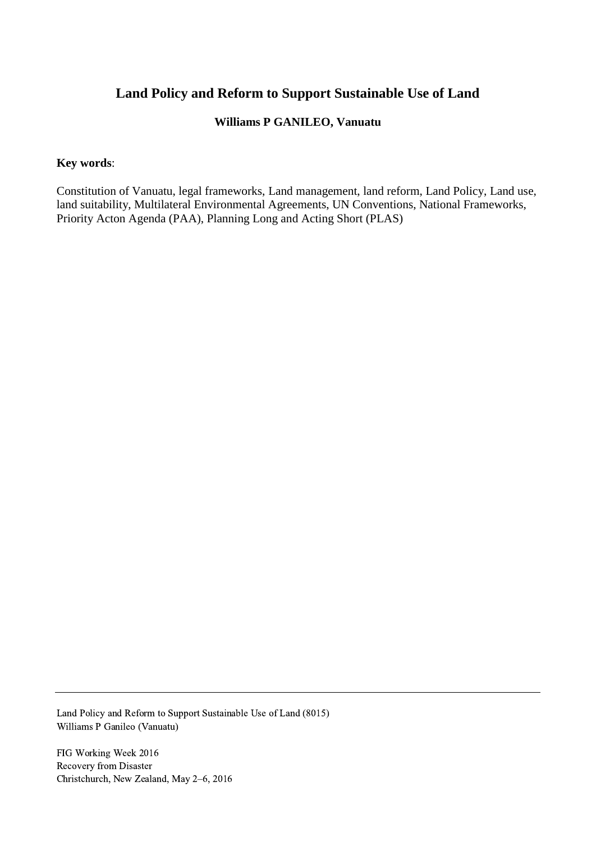# **Land Policy and Reform to Support Sustainable Use of Land**

#### **Williams P GANILEO, Vanuatu**

#### **Key words**:

Constitution of Vanuatu, legal frameworks, Land management, land reform, Land Policy, Land use, land suitability, Multilateral Environmental Agreements, UN Conventions, National Frameworks, Priority Acton Agenda (PAA), Planning Long and Acting Short (PLAS)

Land Policy and Reform to Support Sustainable Use of Land (8015) Williams P Ganileo (Vanuatu)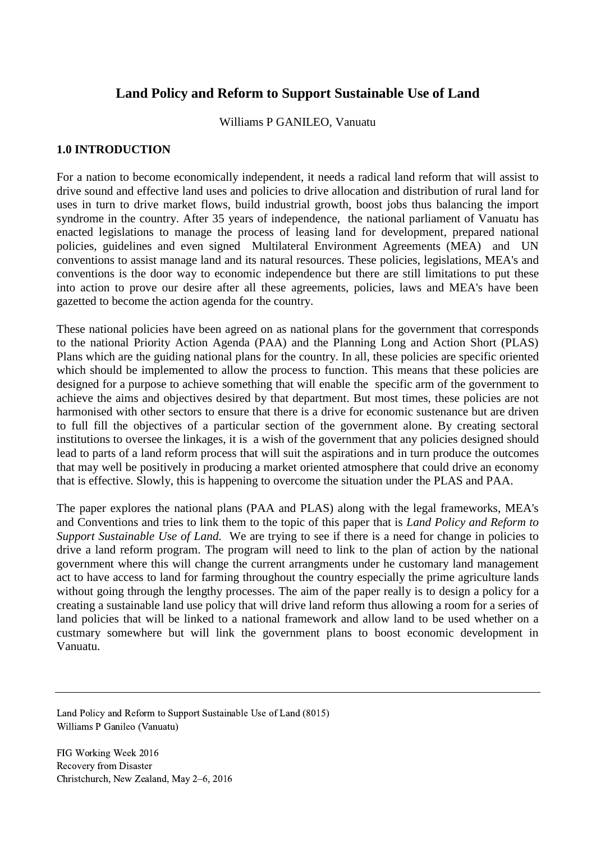# **Land Policy and Reform to Support Sustainable Use of Land**

Williams P GANILEO, Vanuatu

#### **1.0 INTRODUCTION**

For a nation to become economically independent, it needs a radical land reform that will assist to drive sound and effective land uses and policies to drive allocation and distribution of rural land for uses in turn to drive market flows, build industrial growth, boost jobs thus balancing the import syndrome in the country. After 35 years of independence, the national parliament of Vanuatu has enacted legislations to manage the process of leasing land for development, prepared national policies, guidelines and even signed Multilateral Environment Agreements (MEA) and UN conventions to assist manage land and its natural resources. These policies, legislations, MEA's and conventions is the door way to economic independence but there are still limitations to put these into action to prove our desire after all these agreements, policies, laws and MEA's have been gazetted to become the action agenda for the country.

These national policies have been agreed on as national plans for the government that corresponds to the national Priority Action Agenda (PAA) and the Planning Long and Action Short (PLAS) Plans which are the guiding national plans for the country. In all, these policies are specific oriented which should be implemented to allow the process to function. This means that these policies are designed for a purpose to achieve something that will enable the specific arm of the government to achieve the aims and objectives desired by that department. But most times, these policies are not harmonised with other sectors to ensure that there is a drive for economic sustenance but are driven to full fill the objectives of a particular section of the government alone. By creating sectoral institutions to oversee the linkages, it is a wish of the government that any policies designed should lead to parts of a land reform process that will suit the aspirations and in turn produce the outcomes that may well be positively in producing a market oriented atmosphere that could drive an economy that is effective. Slowly, this is happening to overcome the situation under the PLAS and PAA.

The paper explores the national plans (PAA and PLAS) along with the legal frameworks, MEA's and Conventions and tries to link them to the topic of this paper that is *Land Policy and Reform to Support Sustainable Use of Land.* We are trying to see if there is a need for change in policies to drive a land reform program. The program will need to link to the plan of action by the national government where this will change the current arrangments under he customary land management act to have access to land for farming throughout the country especially the prime agriculture lands without going through the lengthy processes. The aim of the paper really is to design a policy for a creating a sustainable land use policy that will drive land reform thus allowing a room for a series of land policies that will be linked to a national framework and allow land to be used whether on a custmary somewhere but will link the government plans to boost economic development in Vanuatu.

Land Policy and Reform to Support Sustainable Use of Land (8015) Williams P Ganileo (Vanuatu)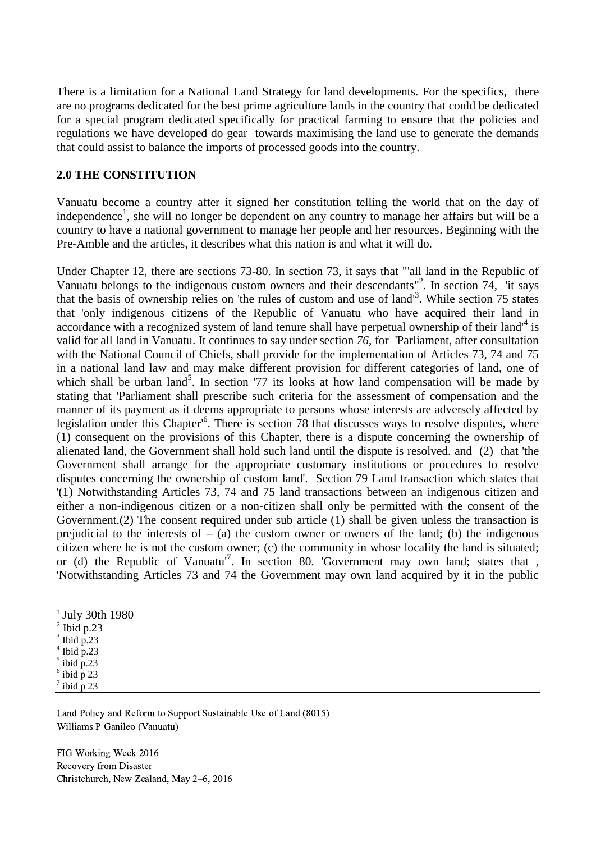There is a limitation for a National Land Strategy for land developments. For the specifics, there are no programs dedicated for the best prime agriculture lands in the country that could be dedicated for a special program dedicated specifically for practical farming to ensure that the policies and regulations we have developed do gear towards maximising the land use to generate the demands that could assist to balance the imports of processed goods into the country.

#### **2.0 THE CONSTITUTION**

Vanuatu become a country after it signed her constitution telling the world that on the day of independence<sup>1</sup>, she will no longer be dependent on any country to manage her affairs but will be a country to have a national government to manage her people and her resources. Beginning with the Pre-Amble and the articles, it describes what this nation is and what it will do.

Under Chapter 12, there are sections 73-80. In section 73, it says that "'all land in the Republic of Vanuatu belongs to the indigenous custom owners and their descendants<sup>"2</sup>. In section 74, 'it says that the basis of ownership relies on 'the rules of custom and use of land<sup>3</sup>. While section 75 states that 'only indigenous citizens of the Republic of Vanuatu who have acquired their land in accordance with a recognized system of land tenure shall have perpetual ownership of their land<sup>4</sup> is valid for all land in Vanuatu. It continues to say under section *76,* for 'Parliament, after consultation with the National Council of Chiefs, shall provide for the implementation of Articles 73, 74 and 75 in a national land law and may make different provision for different categories of land, one of which shall be urban land<sup>5</sup>. In section '77 its looks at how land compensation will be made by stating that 'Parliament shall prescribe such criteria for the assessment of compensation and the manner of its payment as it deems appropriate to persons whose interests are adversely affected by legislation under this Chapter<sup>'6</sup>. There is section 78 that discusses ways to resolve disputes, where (1) consequent on the provisions of this Chapter, there is a dispute concerning the ownership of alienated land, the Government shall hold such land until the dispute is resolved. and (2) that 'the Government shall arrange for the appropriate customary institutions or procedures to resolve disputes concerning the ownership of custom land'. Section 79 Land transaction which states that '(1) Notwithstanding Articles 73, 74 and 75 land transactions between an indigenous citizen and either a non-indigenous citizen or a non-citizen shall only be permitted with the consent of the Government.(2) The consent required under sub article (1) shall be given unless the transaction is prejudicial to the interests of  $-$  (a) the custom owner or owners of the land; (b) the indigenous citizen where he is not the custom owner; (c) the community in whose locality the land is situated; or (d) the Republic of Vanuatu<sup>17</sup>. In section 80. 'Government may own land; states that, 'Notwithstanding Articles 73 and 74 the Government may own land acquired by it in the public

- <sup>1</sup> July 30th 1980
- $2$  Ibid p.23
- $3$  Ibid p.23

-

- $4$  Ibid p.23
- $<sup>5</sup>$  ibid p.23</sup>
- $\frac{6}{7}$  ibid p 23 ibid p 23

Land Policy and Reform to Support Sustainable Use of Land (8015) Williams P Ganileo (Vanuatu)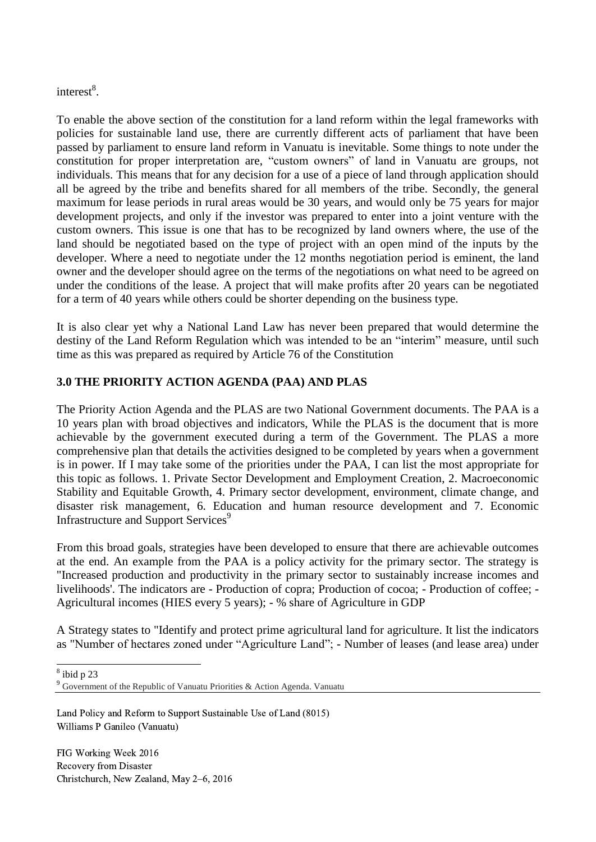interest<sup>8</sup>.

To enable the above section of the constitution for a land reform within the legal frameworks with policies for sustainable land use, there are currently different acts of parliament that have been passed by parliament to ensure land reform in Vanuatu is inevitable. Some things to note under the constitution for proper interpretation are, "custom owners" of land in Vanuatu are groups, not individuals. This means that for any decision for a use of a piece of land through application should all be agreed by the tribe and benefits shared for all members of the tribe. Secondly, the general maximum for lease periods in rural areas would be 30 years, and would only be 75 years for major development projects, and only if the investor was prepared to enter into a joint venture with the custom owners. This issue is one that has to be recognized by land owners where, the use of the land should be negotiated based on the type of project with an open mind of the inputs by the developer. Where a need to negotiate under the 12 months negotiation period is eminent, the land owner and the developer should agree on the terms of the negotiations on what need to be agreed on under the conditions of the lease. A project that will make profits after 20 years can be negotiated for a term of 40 years while others could be shorter depending on the business type.

It is also clear yet why a National Land Law has never been prepared that would determine the destiny of the Land Reform Regulation which was intended to be an "interim" measure, until such time as this was prepared as required by Article 76 of the Constitution

### **3.0 THE PRIORITY ACTION AGENDA (PAA) AND PLAS**

The Priority Action Agenda and the PLAS are two National Government documents. The PAA is a 10 years plan with broad objectives and indicators, While the PLAS is the document that is more achievable by the government executed during a term of the Government. The PLAS a more comprehensive plan that details the activities designed to be completed by years when a government is in power. If I may take some of the priorities under the PAA, I can list the most appropriate for this topic as follows. 1. Private Sector Development and Employment Creation, 2. Macroeconomic Stability and Equitable Growth, 4. Primary sector development, environment, climate change, and disaster risk management, 6. Education and human resource development and 7. Economic Infrastructure and Support Services<sup>9</sup>

From this broad goals, strategies have been developed to ensure that there are achievable outcomes at the end. An example from the PAA is a policy activity for the primary sector. The strategy is "Increased production and productivity in the primary sector to sustainably increase incomes and livelihoods'. The indicators are - Production of copra; Production of cocoa; - Production of coffee; - Agricultural incomes (HIES every 5 years); - % share of Agriculture in GDP

A Strategy states to "Identify and protect prime agricultural land for agriculture. It list the indicators as "Number of hectares zoned under "Agriculture Land"; - Number of leases (and lease area) under

 $\frac{1}{8}$ ibid p 23

Land Policy and Reform to Support Sustainable Use of Land (8015) Williams P Ganileo (Vanuatu)

<sup>9</sup> Government of the Republic of Vanuatu Priorities & Action Agenda. Vanuatu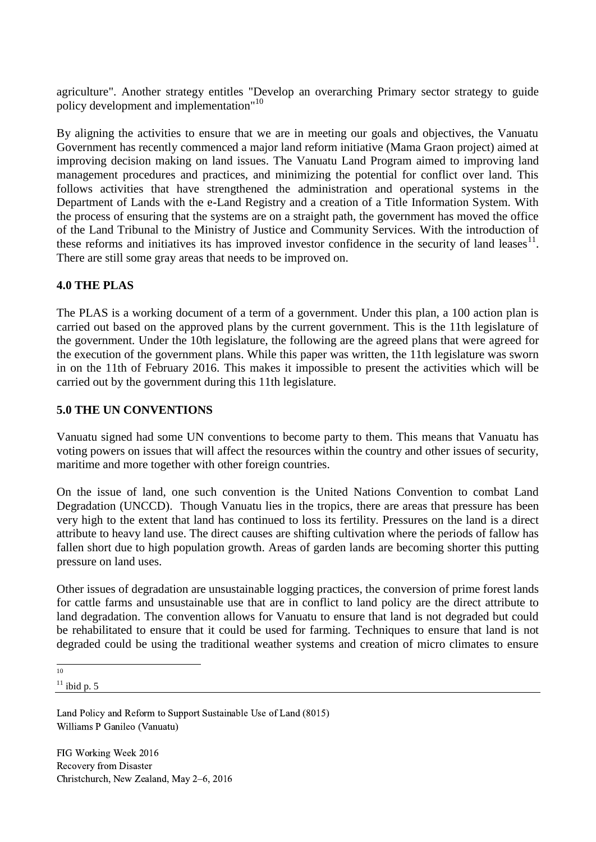agriculture". Another strategy entitles "Develop an overarching Primary sector strategy to guide policy development and implementation"<sup>10</sup>

By aligning the activities to ensure that we are in meeting our goals and objectives, the Vanuatu Government has recently commenced a major land reform initiative (Mama Graon project) aimed at improving decision making on land issues. The Vanuatu Land Program aimed to improving land management procedures and practices, and minimizing the potential for conflict over land. This follows activities that have strengthened the administration and operational systems in the Department of Lands with the e-Land Registry and a creation of a Title Information System. With the process of ensuring that the systems are on a straight path, the government has moved the office of the Land Tribunal to the Ministry of Justice and Community Services. With the introduction of these reforms and initiatives its has improved investor confidence in the security of land leases $11$ . There are still some gray areas that needs to be improved on.

### **4.0 THE PLAS**

The PLAS is a working document of a term of a government. Under this plan, a 100 action plan is carried out based on the approved plans by the current government. This is the 11th legislature of the government. Under the 10th legislature, the following are the agreed plans that were agreed for the execution of the government plans. While this paper was written, the 11th legislature was sworn in on the 11th of February 2016. This makes it impossible to present the activities which will be carried out by the government during this 11th legislature.

### **5.0 THE UN CONVENTIONS**

Vanuatu signed had some UN conventions to become party to them. This means that Vanuatu has voting powers on issues that will affect the resources within the country and other issues of security, maritime and more together with other foreign countries.

On the issue of land, one such convention is the United Nations Convention to combat Land Degradation (UNCCD). Though Vanuatu lies in the tropics, there are areas that pressure has been very high to the extent that land has continued to loss its fertility. Pressures on the land is a direct attribute to heavy land use. The direct causes are shifting cultivation where the periods of fallow has fallen short due to high population growth. Areas of garden lands are becoming shorter this putting pressure on land uses.

Other issues of degradation are unsustainable logging practices, the conversion of prime forest lands for cattle farms and unsustainable use that are in conflict to land policy are the direct attribute to land degradation. The convention allows for Vanuatu to ensure that land is not degraded but could be rehabilitated to ensure that it could be used for farming. Techniques to ensure that land is not degraded could be using the traditional weather systems and creation of micro climates to ensure

 $11$  ibid p.  $5$ 

Land Policy and Reform to Support Sustainable Use of Land (8015) Williams P Ganileo (Vanuatu)

 $\frac{1}{10}$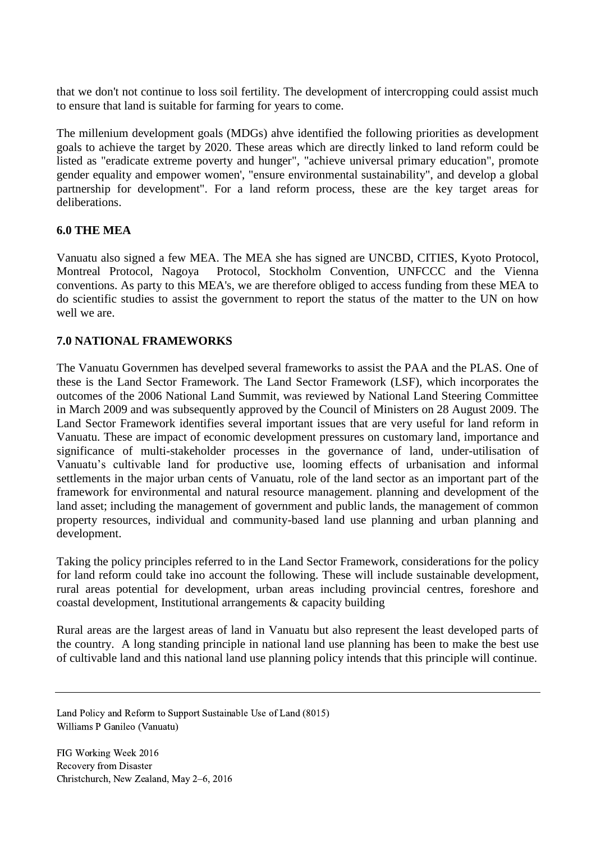that we don't not continue to loss soil fertility. The development of intercropping could assist much to ensure that land is suitable for farming for years to come.

The millenium development goals (MDGs) ahve identified the following priorities as development goals to achieve the target by 2020. These areas which are directly linked to land reform could be listed as "eradicate extreme poverty and hunger", "achieve universal primary education", promote gender equality and empower women', "ensure environmental sustainability", and develop a global partnership for development". For a land reform process, these are the key target areas for deliberations.

### **6.0 THE MEA**

Vanuatu also signed a few MEA. The MEA she has signed are UNCBD, CITIES, Kyoto Protocol, Montreal Protocol, Nagoya Protocol, Stockholm Convention, UNFCCC and the Vienna conventions. As party to this MEA's, we are therefore obliged to access funding from these MEA to do scientific studies to assist the government to report the status of the matter to the UN on how well we are.

### **7.0 NATIONAL FRAMEWORKS**

The Vanuatu Governmen has develped several frameworks to assist the PAA and the PLAS. One of these is the Land Sector Framework. The Land Sector Framework (LSF), which incorporates the outcomes of the 2006 National Land Summit, was reviewed by National Land Steering Committee in March 2009 and was subsequently approved by the Council of Ministers on 28 August 2009. The Land Sector Framework identifies several important issues that are very useful for land reform in Vanuatu. These are impact of economic development pressures on customary land, importance and significance of multi-stakeholder processes in the governance of land, under-utilisation of Vanuatu's cultivable land for productive use, looming effects of urbanisation and informal settlements in the major urban cents of Vanuatu, role of the land sector as an important part of the framework for environmental and natural resource management. planning and development of the land asset; including the management of government and public lands, the management of common property resources, individual and community-based land use planning and urban planning and development.

Taking the policy principles referred to in the Land Sector Framework, considerations for the policy for land reform could take ino account the following. These will include sustainable development, rural areas potential for development, urban areas including provincial centres, foreshore and coastal development, Institutional arrangements & capacity building

Rural areas are the largest areas of land in Vanuatu but also represent the least developed parts of the country. A long standing principle in national land use planning has been to make the best use of cultivable land and this national land use planning policy intends that this principle will continue.

Land Policy and Reform to Support Sustainable Use of Land (8015) Williams P Ganileo (Vanuatu)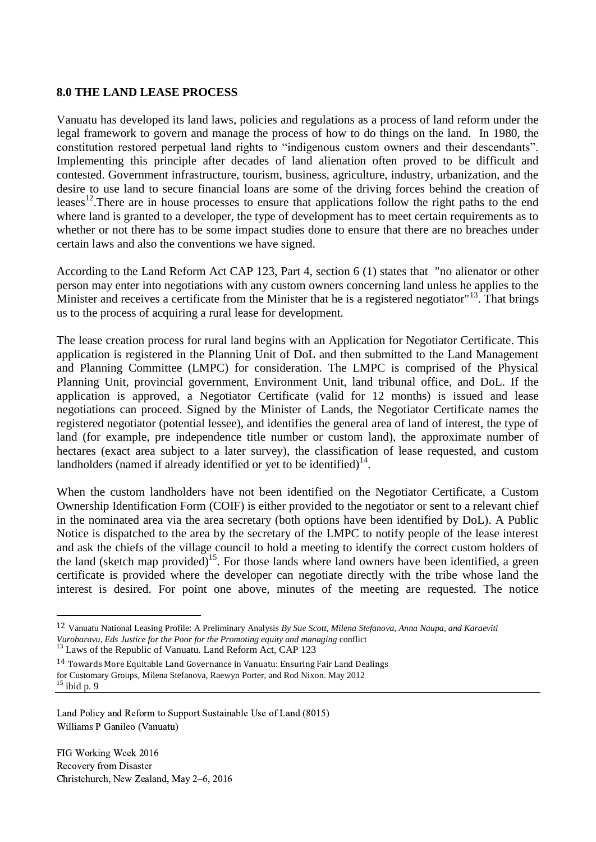#### **8.0 THE LAND LEASE PROCESS**

Vanuatu has developed its land laws, policies and regulations as a process of land reform under the legal framework to govern and manage the process of how to do things on the land. In 1980, the constitution restored perpetual land rights to "indigenous custom owners and their descendants". Implementing this principle after decades of land alienation often proved to be difficult and contested. Government infrastructure, tourism, business, agriculture, industry, urbanization, and the desire to use land to secure financial loans are some of the driving forces behind the creation of leases<sup>12</sup>. There are in house processes to ensure that applications follow the right paths to the end where land is granted to a developer, the type of development has to meet certain requirements as to whether or not there has to be some impact studies done to ensure that there are no breaches under certain laws and also the conventions we have signed.

According to the Land Reform Act CAP 123, Part 4, section 6 (1) states that "no alienator or other person may enter into negotiations with any custom owners concerning land unless he applies to the Minister and receives a certificate from the Minister that he is a registered negotiator"<sup>13</sup>. That brings us to the process of acquiring a rural lease for development.

The lease creation process for rural land begins with an Application for Negotiator Certificate. This application is registered in the Planning Unit of DoL and then submitted to the Land Management and Planning Committee (LMPC) for consideration. The LMPC is comprised of the Physical Planning Unit, provincial government, Environment Unit, land tribunal office, and DoL. If the application is approved, a Negotiator Certificate (valid for 12 months) is issued and lease negotiations can proceed. Signed by the Minister of Lands, the Negotiator Certificate names the registered negotiator (potential lessee), and identifies the general area of land of interest, the type of land (for example, pre independence title number or custom land), the approximate number of hectares (exact area subject to a later survey), the classification of lease requested, and custom landholders (named if already identified or yet to be identified) $14$ .

When the custom landholders have not been identified on the Negotiator Certificate, a Custom Ownership Identification Form (COIF) is either provided to the negotiator or sent to a relevant chief in the nominated area via the area secretary (both options have been identified by DoL). A Public Notice is dispatched to the area by the secretary of the LMPC to notify people of the lease interest and ask the chiefs of the village council to hold a meeting to identify the correct custom holders of the land (sketch map provided)<sup>15</sup>. For those lands where land owners have been identified, a green certificate is provided where the developer can negotiate directly with the tribe whose land the interest is desired. For point one above, minutes of the meeting are requested. The notice

14 Towards More Equitable Land Governance in Vanuatu: Ensuring Fair Land Dealings for Customary Groups, Milena Stefanova, Raewyn Porter, and Rod Nixon. May 2012  $15$  ibid p. 9

FIG Working Week 2016 Recovery from Disaster Christchurch, New Zealand, May 2–6, 2016

1

<sup>12</sup> Vanuatu National Leasing Profile: A Preliminary Analysis *By Sue Scott, Milena Stefanova, Anna Naupa, and Karaeviti Vurobaravu, Eds Justice for the Poor for the Promoting equity and managing* conflict

<sup>&</sup>lt;sup>13</sup> Laws of the Republic of Vanuatu. Land Reform Act, CAP 123

Land Policy and Reform to Support Sustainable Use of Land (8015) Williams P Ganileo (Vanuatu)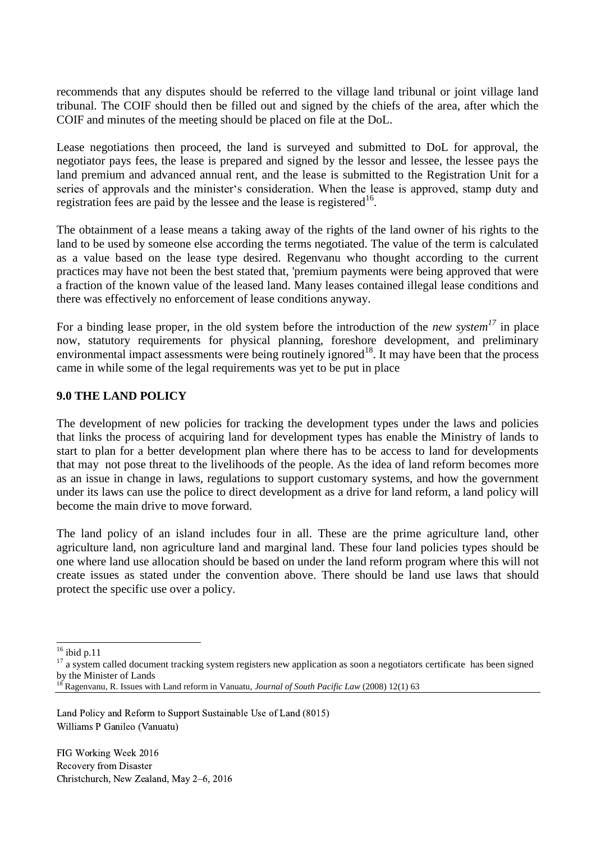recommends that any disputes should be referred to the village land tribunal or joint village land tribunal. The COIF should then be filled out and signed by the chiefs of the area, after which the COIF and minutes of the meeting should be placed on file at the DoL.

Lease negotiations then proceed, the land is surveyed and submitted to DoL for approval, the negotiator pays fees, the lease is prepared and signed by the lessor and lessee, the lessee pays the land premium and advanced annual rent, and the lease is submitted to the Registration Unit for a series of approvals and the minister's consideration. When the lease is approved, stamp duty and registration fees are paid by the lessee and the lease is registered<sup>16</sup>.

The obtainment of a lease means a taking away of the rights of the land owner of his rights to the land to be used by someone else according the terms negotiated. The value of the term is calculated as a value based on the lease type desired. Regenvanu who thought according to the current practices may have not been the best stated that, 'premium payments were being approved that were a fraction of the known value of the leased land. Many leases contained illegal lease conditions and there was effectively no enforcement of lease conditions anyway.

For a binding lease proper, in the old system before the introduction of the *new system<sup>17</sup>* in place now, statutory requirements for physical planning, foreshore development, and preliminary environmental impact assessments were being routinely ignored<sup>18</sup>. It may have been that the process came in while some of the legal requirements was yet to be put in place

#### **9.0 THE LAND POLICY**

The development of new policies for tracking the development types under the laws and policies that links the process of acquiring land for development types has enable the Ministry of lands to start to plan for a better development plan where there has to be access to land for developments that may not pose threat to the livelihoods of the people. As the idea of land reform becomes more as an issue in change in laws, regulations to support customary systems, and how the government under its laws can use the police to direct development as a drive for land reform, a land policy will become the main drive to move forward.

The land policy of an island includes four in all. These are the prime agriculture land, other agriculture land, non agriculture land and marginal land. These four land policies types should be one where land use allocation should be based on under the land reform program where this will not create issues as stated under the convention above. There should be land use laws that should protect the specific use over a policy.

1

 $16$  ibid p.11

<sup>&</sup>lt;sup>17</sup> a system called document tracking system registers new application as soon a negotiators certificate has been signed by the Minister of Lands

<sup>18</sup> Ragenvanu, R. Issues with Land reform in Vanuatu, *Journal of South Pacific Law* (2008) 12(1) 63

Land Policy and Reform to Support Sustainable Use of Land (8015) Williams P Ganileo (Vanuatu)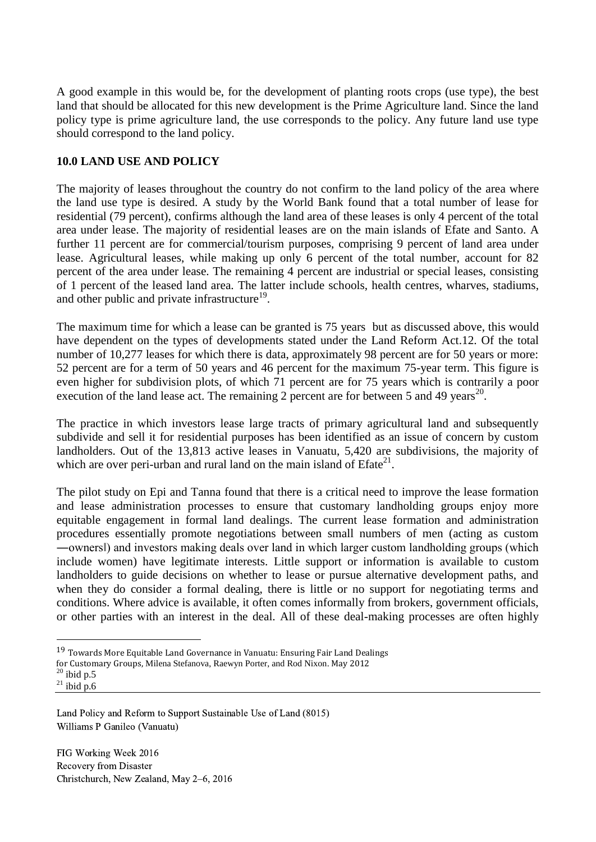A good example in this would be, for the development of planting roots crops (use type), the best land that should be allocated for this new development is the Prime Agriculture land. Since the land policy type is prime agriculture land, the use corresponds to the policy. Any future land use type should correspond to the land policy.

### **10.0 LAND USE AND POLICY**

The majority of leases throughout the country do not confirm to the land policy of the area where the land use type is desired. A study by the World Bank found that a total number of lease for residential (79 percent), confirms although the land area of these leases is only 4 percent of the total area under lease. The majority of residential leases are on the main islands of Efate and Santo. A further 11 percent are for commercial/tourism purposes, comprising 9 percent of land area under lease. Agricultural leases, while making up only 6 percent of the total number, account for 82 percent of the area under lease. The remaining 4 percent are industrial or special leases, consisting of 1 percent of the leased land area. The latter include schools, health centres, wharves, stadiums, and other public and private infrastructure<sup>19</sup>.

The maximum time for which a lease can be granted is 75 years but as discussed above, this would have dependent on the types of developments stated under the Land Reform Act.12. Of the total number of 10,277 leases for which there is data, approximately 98 percent are for 50 years or more: 52 percent are for a term of 50 years and 46 percent for the maximum 75-year term. This figure is even higher for subdivision plots, of which 71 percent are for 75 years which is contrarily a poor execution of the land lease act. The remaining 2 percent are for between 5 and 49 years<sup>20</sup>.

The practice in which investors lease large tracts of primary agricultural land and subsequently subdivide and sell it for residential purposes has been identified as an issue of concern by custom landholders. Out of the 13,813 active leases in Vanuatu, 5,420 are subdivisions, the majority of which are over peri-urban and rural land on the main island of  $E$ fate $^{21}$ .

The pilot study on Epi and Tanna found that there is a critical need to improve the lease formation and lease administration processes to ensure that customary landholding groups enjoy more equitable engagement in formal land dealings. The current lease formation and administration procedures essentially promote negotiations between small numbers of men (acting as custom ―owners‖) and investors making deals over land in which larger custom landholding groups (which include women) have legitimate interests. Little support or information is available to custom landholders to guide decisions on whether to lease or pursue alternative development paths, and when they do consider a formal dealing, there is little or no support for negotiating terms and conditions. Where advice is available, it often comes informally from brokers, government officials, or other parties with an interest in the deal. All of these deal-making processes are often highly

-

<sup>19</sup> Towards More Equitable Land Governance in Vanuatu: Ensuring Fair Land Dealings

for Customary Groups, Milena Stefanova, Raewyn Porter, and Rod Nixon. May 2012

 $20$  ibid p.5  $^{21}$  ibid p.6

Land Policy and Reform to Support Sustainable Use of Land (8015) Williams P Ganileo (Vanuatu)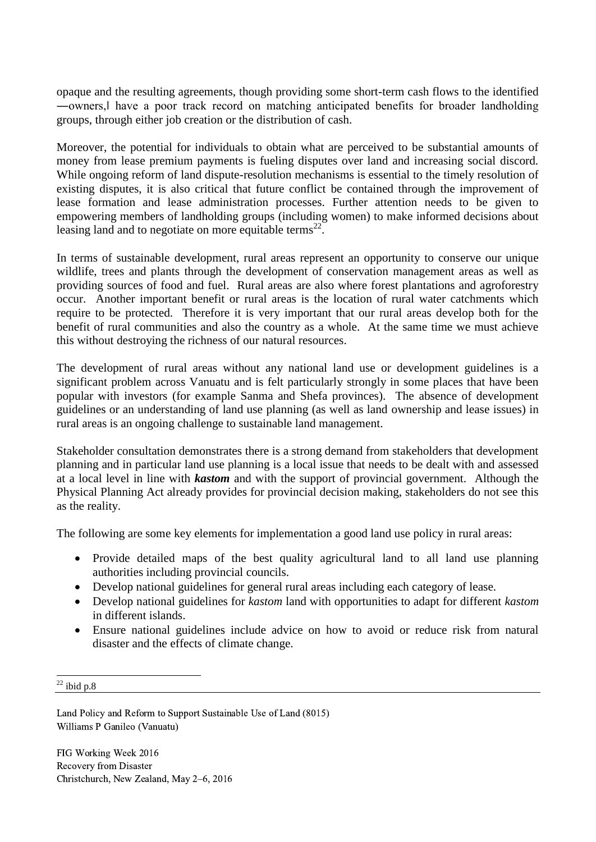opaque and the resulting agreements, though providing some short-term cash flows to the identified ―owners,‖ have a poor track record on matching anticipated benefits for broader landholding groups, through either job creation or the distribution of cash.

Moreover, the potential for individuals to obtain what are perceived to be substantial amounts of money from lease premium payments is fueling disputes over land and increasing social discord. While ongoing reform of land dispute-resolution mechanisms is essential to the timely resolution of existing disputes, it is also critical that future conflict be contained through the improvement of lease formation and lease administration processes. Further attention needs to be given to empowering members of landholding groups (including women) to make informed decisions about leasing land and to negotiate on more equitable terms<sup>22</sup>.

In terms of sustainable development, rural areas represent an opportunity to conserve our unique wildlife, trees and plants through the development of conservation management areas as well as providing sources of food and fuel. Rural areas are also where forest plantations and agroforestry occur. Another important benefit or rural areas is the location of rural water catchments which require to be protected. Therefore it is very important that our rural areas develop both for the benefit of rural communities and also the country as a whole. At the same time we must achieve this without destroying the richness of our natural resources.

The development of rural areas without any national land use or development guidelines is a significant problem across Vanuatu and is felt particularly strongly in some places that have been popular with investors (for example Sanma and Shefa provinces). The absence of development guidelines or an understanding of land use planning (as well as land ownership and lease issues) in rural areas is an ongoing challenge to sustainable land management.

Stakeholder consultation demonstrates there is a strong demand from stakeholders that development planning and in particular land use planning is a local issue that needs to be dealt with and assessed at a local level in line with *kastom* and with the support of provincial government. Although the Physical Planning Act already provides for provincial decision making, stakeholders do not see this as the reality.

The following are some key elements for implementation a good land use policy in rural areas:

- Provide detailed maps of the best quality agricultural land to all land use planning authorities including provincial councils.
- Develop national guidelines for general rural areas including each category of lease.
- Develop national guidelines for *kastom* land with opportunities to adapt for different *kastom* in different islands.
- Ensure national guidelines include advice on how to avoid or reduce risk from natural disaster and the effects of climate change.

Land Policy and Reform to Support Sustainable Use of Land (8015) Williams P Ganileo (Vanuatu)

<sup>1</sup>  $^{22}$  ibid p.8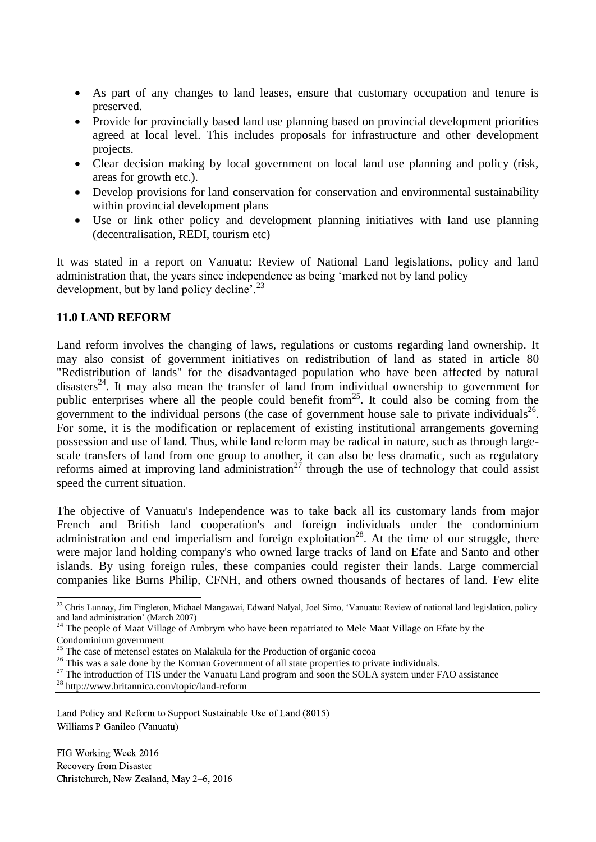- As part of any changes to land leases, ensure that customary occupation and tenure is preserved.
- Provide for provincially based land use planning based on provincial development priorities agreed at local level. This includes proposals for infrastructure and other development projects.
- Clear decision making by local government on local land use planning and policy (risk, areas for growth etc.).
- Develop provisions for land conservation for conservation and environmental sustainability within provincial development plans
- Use or link other policy and development planning initiatives with land use planning (decentralisation, REDI, tourism etc)

It was stated in a report on Vanuatu: Review of National Land legislations, policy and land administration that, the years since independence as being 'marked not by land policy development, but by land policy decline'.<sup>23</sup>

### **11.0 LAND REFORM**

Land reform involves the changing of laws, regulations or customs regarding land ownership. It may also consist of government initiatives on redistribution of land as stated in article 80 "Redistribution of lands" for the disadvantaged population who have been affected by natural disasters<sup>24</sup>. It may also mean the transfer of land from individual ownership to government for public enterprises where all the people could benefit from  $25$ . It could also be coming from the government to the individual persons (the case of government house sale to private individuals<sup>26</sup>. For some, it is the modification or replacement of existing institutional arrangements governing possession and use of land. Thus, while land reform may be radical in nature, such as through largescale transfers of land from one group to another, it can also be less dramatic, such as regulatory reforms aimed at improving land administration<sup>27</sup> through the use of technology that could assist speed the current situation.

The objective of Vanuatu's Independence was to take back all its customary lands from major French and British land cooperation's and foreign individuals under the condominium administration and end imperialism and foreign exploitation<sup>28</sup>. At the time of our struggle, there were major land holding company's who owned large tracks of land on Efate and Santo and other islands. By using foreign rules, these companies could register their lands. Large commercial companies like Burns Philip, CFNH, and others owned thousands of hectares of land. Few elite

-

<sup>27</sup> The introduction of TIS under the Vanuatu Land program and soon the SOLA system under FAO assistance

Land Policy and Reform to Support Sustainable Use of Land (8015) Williams P Ganileo (Vanuatu)

<sup>&</sup>lt;sup>23</sup> Chris Lunnay, Jim Fingleton, Michael Mangawai, Edward Nalyal, Joel Simo, 'Vanuatu: Review of national land legislation, policy and land administration' (March 2007)

<sup>&</sup>lt;sup>24</sup> The people of Maat Village of Ambrym who have been repatriated to Mele Maat Village on Efate by the

Condominium government

 $25$  The case of metensel estates on Malakula for the Production of organic cocoa

<sup>&</sup>lt;sup>26</sup> This was a sale done by the Korman Government of all state properties to private individuals.

<sup>28</sup> http://www.britannica.com/topic/land-reform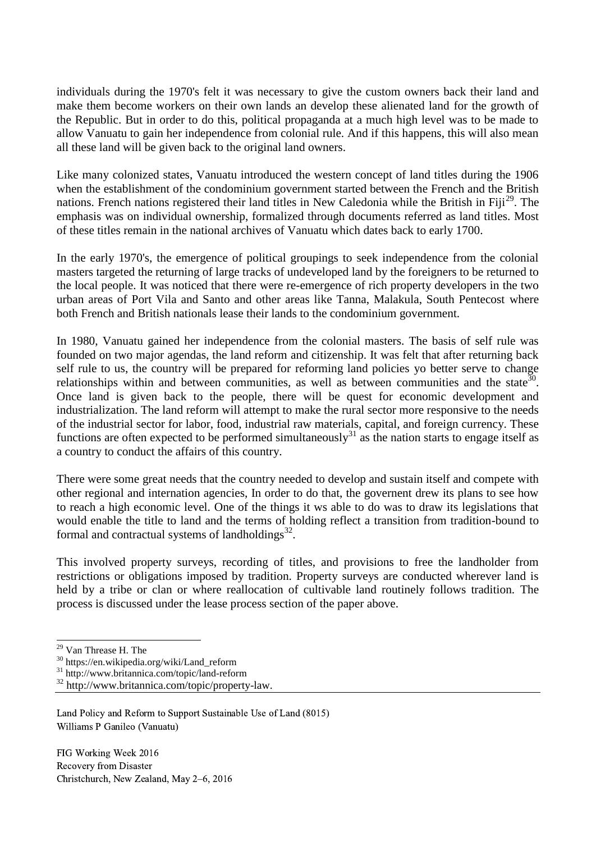individuals during the 1970's felt it was necessary to give the custom owners back their land and make them become workers on their own lands an develop these alienated land for the growth of the Republic. But in order to do this, political propaganda at a much high level was to be made to allow Vanuatu to gain her independence from colonial rule. And if this happens, this will also mean all these land will be given back to the original land owners.

Like many colonized states, Vanuatu introduced the western concept of land titles during the 1906 when the establishment of the condominium government started between the French and the British nations. French nations registered their land titles in New Caledonia while the British in Fiji<sup>29</sup>. The emphasis was on individual ownership, formalized through documents referred as land titles. Most of these titles remain in the national archives of Vanuatu which dates back to early 1700.

In the early 1970's, the emergence of political groupings to seek independence from the colonial masters targeted the returning of large tracks of undeveloped land by the foreigners to be returned to the local people. It was noticed that there were re-emergence of rich property developers in the two urban areas of Port Vila and Santo and other areas like Tanna, Malakula, South Pentecost where both French and British nationals lease their lands to the condominium government.

In 1980, Vanuatu gained her independence from the colonial masters. The basis of self rule was founded on two major agendas, the land reform and citizenship. It was felt that after returning back self rule to us, the country will be prepared for reforming land policies yo better serve to change relationships within and between communities, as well as between communities and the state<sup>30</sup>. Once land is given back to the people, there will be quest for economic development and industrialization. The land reform will attempt to make the rural sector more responsive to the needs of the industrial sector for labor, food, industrial raw materials, capital, and foreign currency. These functions are often expected to be performed simultaneously<sup>31</sup> as the nation starts to engage itself as a country to conduct the affairs of this country.

There were some great needs that the country needed to develop and sustain itself and compete with other regional and internation agencies, In order to do that, the governent drew its plans to see how to reach a high economic level. One of the things it ws able to do was to draw its legislations that would enable the [title](http://www.britannica.com/topic/title-property-law) to land and the terms of holding reflect a transition from tradition-bound to formal and contractual systems of landholdings $^{32}$ .

This involved [property](http://www.britannica.com/topic/property-legal-concept) surveys, recording of titles, and provisions to free the landholder from restrictions or obligations imposed by tradition. Property surveys are conducted wherever land is held by a tribe or clan or where reallocation of cultivable land routinely follows tradition. The process is discussed under the lease process section of the paper above.

1

<sup>29</sup> Van Threase H. The

<sup>30</sup> https://en.wikipedia.org/wiki/Land\_reform

<sup>&</sup>lt;sup>31</sup> http://www.britannica.com/topic/land-reform

<sup>32</sup> http://www.britannica.com/topic/property-law.

Land Policy and Reform to Support Sustainable Use of Land (8015) Williams P Ganileo (Vanuatu)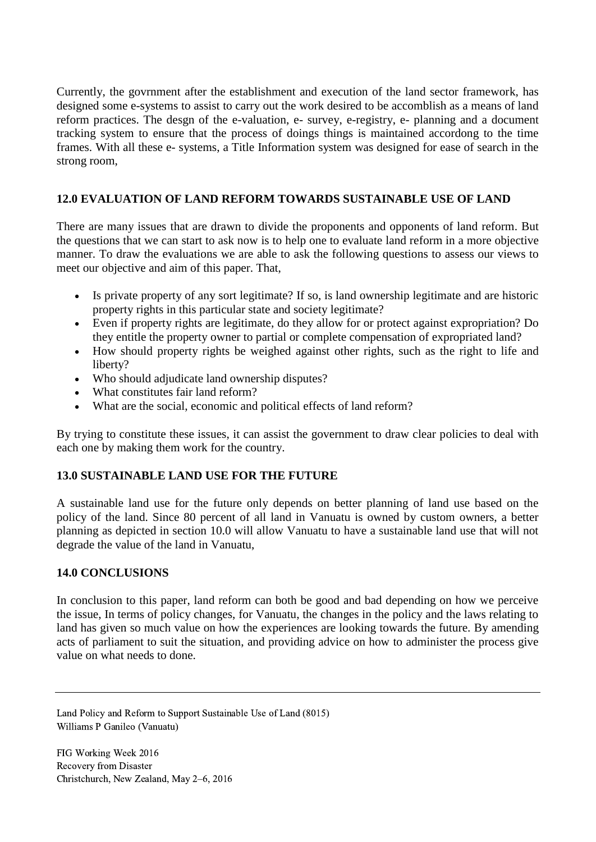Currently, the govrnment after the establishment and execution of the land sector framework, has designed some e-systems to assist to carry out the work desired to be accomblish as a means of land reform practices. The desgn of the e-valuation, e- survey, e-registry, e- planning and a document tracking system to ensure that the process of doings things is maintained accordong to the time frames. With all these e- systems, a Title Information system was designed for ease of search in the strong room,

### **12.0 EVALUATION OF LAND REFORM TOWARDS SUSTAINABLE USE OF LAND**

There are many issues that are drawn to divide the proponents and opponents of land reform. But the questions that we can start to ask now is to help one to evaluate land reform in a more objective manner. To draw the evaluations we are able to ask the following questions to assess our views to meet our objective and aim of this paper. That,

- Is private property of any sort legitimate? If so, is land ownership legitimate and are historic property rights in this particular state and society legitimate?
- Even if property rights are legitimate, do they allow for or protect against expropriation? Do they entitle the property owner to partial or complete compensation of expropriated land?
- How should property rights be weighed against other rights, such as the right to life and liberty?
- Who should adjudicate land ownership disputes?
- What constitutes fair land reform?
- What are the social, economic and political effects of land reform?

By trying to constitute these issues, it can assist the government to draw clear policies to deal with each one by making them work for the country.

## **13.0 SUSTAINABLE LAND USE FOR THE FUTURE**

A sustainable land use for the future only depends on better planning of land use based on the policy of the land. Since 80 percent of all land in Vanuatu is owned by custom owners, a better planning as depicted in section 10.0 will allow Vanuatu to have a sustainable land use that will not degrade the value of the land in Vanuatu,

## **14.0 CONCLUSIONS**

In conclusion to this paper, land reform can both be good and bad depending on how we perceive the issue, In terms of policy changes, for Vanuatu, the changes in the policy and the laws relating to land has given so much value on how the experiences are looking towards the future. By amending acts of parliament to suit the situation, and providing advice on how to administer the process give value on what needs to done.

Land Policy and Reform to Support Sustainable Use of Land (8015) Williams P Ganileo (Vanuatu)